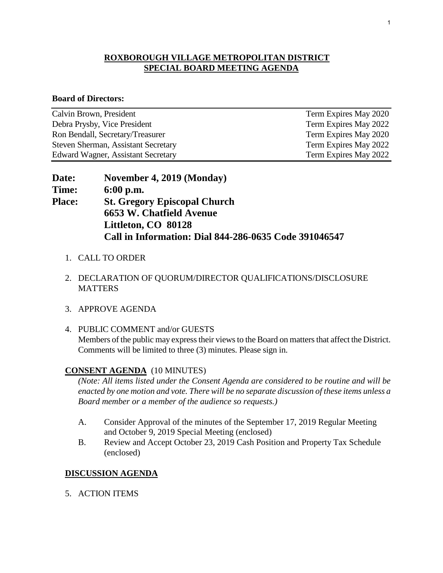## **ROXBOROUGH VILLAGE METROPOLITAN DISTRICT SPECIAL BOARD MEETING AGENDA**

#### **Board of Directors:**

| Calvin Brown, President             | Term Expires May 2020 |
|-------------------------------------|-----------------------|
| Debra Prysby, Vice President        | Term Expires May 2022 |
| Ron Bendall, Secretary/Treasurer    | Term Expires May 2020 |
| Steven Sherman, Assistant Secretary | Term Expires May 2022 |
| Edward Wagner, Assistant Secretary  | Term Expires May 2022 |

| Date:         | November 4, 2019 (Monday)                             |
|---------------|-------------------------------------------------------|
| Time:         | $6:00$ p.m.                                           |
| <b>Place:</b> | <b>St. Gregory Episcopal Church</b>                   |
|               | <b>6653 W. Chatfield Avenue</b>                       |
|               | Littleton, CO 80128                                   |
|               | Call in Information: Dial 844-286-0635 Code 391046547 |

- 1. CALL TO ORDER
- 2. DECLARATION OF QUORUM/DIRECTOR QUALIFICATIONS/DISCLOSURE **MATTERS**
- 3. APPROVE AGENDA
- 4. PUBLIC COMMENT and/or GUESTS Members of the public may express their views to the Board on matters that affect the District. Comments will be limited to three (3) minutes. Please sign in.

## **CONSENT AGENDA** (10 MINUTES)

*(Note: All items listed under the Consent Agenda are considered to be routine and will be enacted by one motion and vote. There will be no separate discussion of these items unless a Board member or a member of the audience so requests.)* 

- A. Consider Approval of the minutes of the September 17, 2019 Regular Meeting and October 9, 2019 Special Meeting (enclosed)
- B. Review and Accept October 23, 2019 Cash Position and Property Tax Schedule (enclosed)

#### **DISCUSSION AGENDA**

5. ACTION ITEMS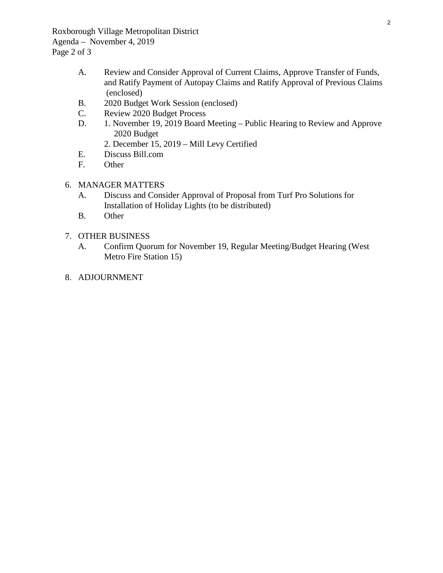Roxborough Village Metropolitan District Agenda – November 4, 2019 Page 2 of 3

- A. Review and Consider Approval of Current Claims, Approve Transfer of Funds, and Ratify Payment of Autopay Claims and Ratify Approval of Previous Claims (enclosed)
- B. 2020 Budget Work Session (enclosed)
- C. Review 2020 Budget Process
- D. 1. November 19, 2019 Board Meeting Public Hearing to Review and Approve 2020 Budget
	- 2. December 15, 2019 Mill Levy Certified
- E. Discuss Bill.com<br>F. Other
- Other
- 6. MANAGER MATTERS
	- A. Discuss and Consider Approval of Proposal from Turf Pro Solutions for Installation of Holiday Lights (to be distributed)
	- B. Other
- 7. OTHER BUSINESS
	- A. Confirm Quorum for November 19, Regular Meeting/Budget Hearing (West Metro Fire Station 15)
- 8. ADJOURNMENT